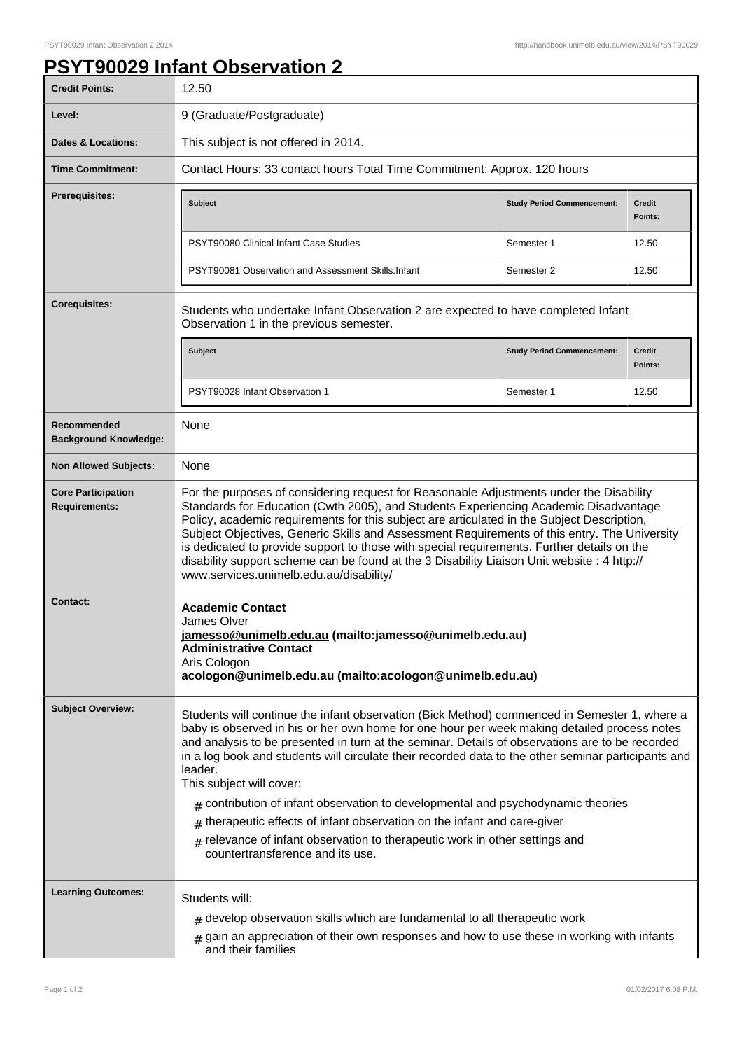## **PSYT90029 Infant Observation 2**

| <b>Credit Points:</b>                             | 12.50                                                                                                                                                                                                                                                                                                                                                                                                                                                                                                                                                                                                                                                                                                                                      |                                   |                          |
|---------------------------------------------------|--------------------------------------------------------------------------------------------------------------------------------------------------------------------------------------------------------------------------------------------------------------------------------------------------------------------------------------------------------------------------------------------------------------------------------------------------------------------------------------------------------------------------------------------------------------------------------------------------------------------------------------------------------------------------------------------------------------------------------------------|-----------------------------------|--------------------------|
| Level:                                            | 9 (Graduate/Postgraduate)                                                                                                                                                                                                                                                                                                                                                                                                                                                                                                                                                                                                                                                                                                                  |                                   |                          |
| Dates & Locations:                                | This subject is not offered in 2014.                                                                                                                                                                                                                                                                                                                                                                                                                                                                                                                                                                                                                                                                                                       |                                   |                          |
| <b>Time Commitment:</b>                           | Contact Hours: 33 contact hours Total Time Commitment: Approx. 120 hours                                                                                                                                                                                                                                                                                                                                                                                                                                                                                                                                                                                                                                                                   |                                   |                          |
| Prerequisites:                                    | <b>Subject</b>                                                                                                                                                                                                                                                                                                                                                                                                                                                                                                                                                                                                                                                                                                                             | <b>Study Period Commencement:</b> | <b>Credit</b><br>Points: |
|                                                   | PSYT90080 Clinical Infant Case Studies                                                                                                                                                                                                                                                                                                                                                                                                                                                                                                                                                                                                                                                                                                     | Semester 1                        | 12.50                    |
|                                                   | PSYT90081 Observation and Assessment Skills: Infant                                                                                                                                                                                                                                                                                                                                                                                                                                                                                                                                                                                                                                                                                        | Semester 2                        | 12.50                    |
| <b>Corequisites:</b>                              | Students who undertake Infant Observation 2 are expected to have completed Infant<br>Observation 1 in the previous semester.                                                                                                                                                                                                                                                                                                                                                                                                                                                                                                                                                                                                               |                                   |                          |
|                                                   | <b>Subject</b>                                                                                                                                                                                                                                                                                                                                                                                                                                                                                                                                                                                                                                                                                                                             | <b>Study Period Commencement:</b> | <b>Credit</b><br>Points: |
|                                                   | PSYT90028 Infant Observation 1                                                                                                                                                                                                                                                                                                                                                                                                                                                                                                                                                                                                                                                                                                             | Semester 1                        | 12.50                    |
| Recommended<br><b>Background Knowledge:</b>       | None                                                                                                                                                                                                                                                                                                                                                                                                                                                                                                                                                                                                                                                                                                                                       |                                   |                          |
| <b>Non Allowed Subjects:</b>                      | None                                                                                                                                                                                                                                                                                                                                                                                                                                                                                                                                                                                                                                                                                                                                       |                                   |                          |
| <b>Core Participation</b><br><b>Requirements:</b> | For the purposes of considering request for Reasonable Adjustments under the Disability<br>Standards for Education (Cwth 2005), and Students Experiencing Academic Disadvantage<br>Policy, academic requirements for this subject are articulated in the Subject Description,<br>Subject Objectives, Generic Skills and Assessment Requirements of this entry. The University<br>is dedicated to provide support to those with special requirements. Further details on the<br>disability support scheme can be found at the 3 Disability Liaison Unit website : 4 http://<br>www.services.unimelb.edu.au/disability/                                                                                                                      |                                   |                          |
| <b>Contact:</b>                                   | <b>Academic Contact</b><br>James Olver<br>jamesso@unimelb.edu.au (mailto: jamesso@unimelb.edu.au)<br><b>Administrative Contact</b><br>Aris Cologon<br>acologon@unimelb.edu.au (mailto:acologon@unimelb.edu.au)                                                                                                                                                                                                                                                                                                                                                                                                                                                                                                                             |                                   |                          |
| <b>Subject Overview:</b>                          | Students will continue the infant observation (Bick Method) commenced in Semester 1, where a<br>baby is observed in his or her own home for one hour per week making detailed process notes<br>and analysis to be presented in turn at the seminar. Details of observations are to be recorded<br>in a log book and students will circulate their recorded data to the other seminar participants and<br>leader.<br>This subject will cover:<br>$_{\#}$ contribution of infant observation to developmental and psychodynamic theories<br>$*$ therapeutic effects of infant observation on the infant and care-giver<br>relevance of infant observation to therapeutic work in other settings and<br>#<br>countertransference and its use. |                                   |                          |
| <b>Learning Outcomes:</b>                         | Students will:<br>$#$ develop observation skills which are fundamental to all therapeutic work<br>$_{\#}$ gain an appreciation of their own responses and how to use these in working with infants<br>and their families                                                                                                                                                                                                                                                                                                                                                                                                                                                                                                                   |                                   |                          |